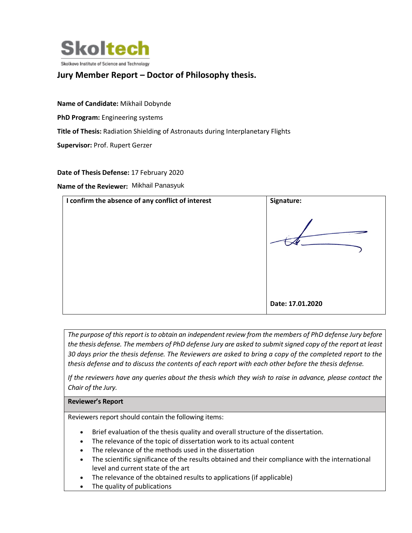

# **Jury Member Report – Doctor of Philosophy thesis.**

**Name of Candidate:** Mikhail Dobynde **PhD Program:** Engineering systems **Title of Thesis:** Radiation Shielding of Astronauts during Interplanetary Flights **Supervisor:** Prof. Rupert Gerzer

**Date of Thesis Defense:** 17 February 2020

**Name of the Reviewer:** Mikhail Panasyuk



*The purpose of this report is to obtain an independent review from the members of PhD defense Jury before the thesis defense. The members of PhD defense Jury are asked to submit signed copy of the report at least 30 days prior the thesis defense. The Reviewers are asked to bring a copy of the completed report to the thesis defense and to discuss the contents of each report with each other before the thesis defense.* 

*If the reviewers have any queries about the thesis which they wish to raise in advance, please contact the Chair of the Jury.*

#### **Reviewer's Report**

Reviewers report should contain the following items:

- Brief evaluation of the thesis quality and overall structure of the dissertation.
- The relevance of the topic of dissertation work to its actual content
- The relevance of the methods used in the dissertation
- The scientific significance of the results obtained and their compliance with the international level and current state of the art
- The relevance of the obtained results to applications (if applicable)
- The quality of publications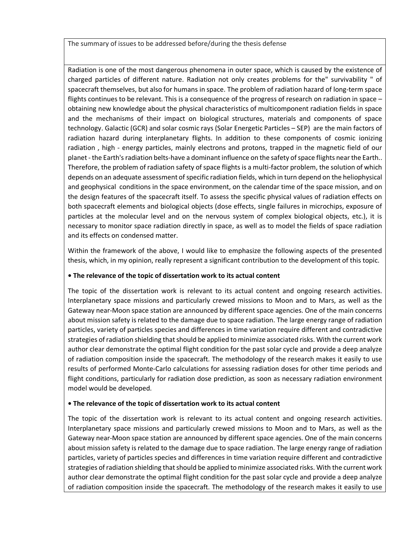#### The summary of issues to be addressed before/during the thesis defense

Radiation is one of the most dangerous phenomena in outer space, which is caused by the existence of charged particles of different nature. Radiation not only creates problems for the" survivability " of spacecraft themselves, but also for humans in space. The problem of radiation hazard of long-term space flights continues to be relevant. This is a consequence of the progress of research on radiation in space – obtaining new knowledge about the physical characteristics of multicomponent radiation fields in space and the mechanisms of their impact on biological structures, materials and components of space technology. Galactic (GCR) and solar cosmic rays (Solar Energetic Particles – SEP) are the main factors of radiation hazard during interplanetary flights. In addition to these components of cosmic ionizing radiation , high - energy particles, mainly electrons and protons, trapped in the magnetic field of our planet- the Earth's radiation belts-have a dominant influence on the safety of space flights near the Earth.. Therefore, the problem of radiation safety of space flights is a multi-factor problem, the solution of which depends on an adequate assessment of specific radiation fields, which in turn depend on the heliophysical and geophysical conditions in the space environment, on the calendar time of the space mission, and on the design features of the spacecraft itself. To assess the specific physical values of radiation effects on both spacecraft elements and biological objects (dose effects, single failures in microchips, exposure of particles at the molecular level and on the nervous system of complex biological objects, etc.), it is necessary to monitor space radiation directly in space, as well as to model the fields of space radiation and its effects on condensed matter.

Within the framework of the above, I would like to emphasize the following aspects of the presented thesis, which, in my opinion, really represent a significant contribution to the development of this topic.

#### **• The relevance of the topic of dissertation work to its actual content**

The topic of the dissertation work is relevant to its actual content and ongoing research activities. Interplanetary space missions and particularly crewed missions to Moon and to Mars, as well as the Gateway near-Moon space station are announced by different space agencies. One of the main concerns about mission safety is related to the damage due to space radiation. The large energy range of radiation particles, variety of particles species and differences in time variation require different and contradictive strategies of radiation shielding that should be applied to minimize associated risks. With the current work author clear demonstrate the optimal flight condition for the past solar cycle and provide a deep analyze of radiation composition inside the spacecraft. The methodology of the research makes it easily to use results of performed Monte-Carlo calculations for assessing radiation doses for other time periods and flight conditions, particularly for radiation dose prediction, as soon as necessary radiation environment model would be developed.

#### **• The relevance of the topic of dissertation work to its actual content**

The topic of the dissertation work is relevant to its actual content and ongoing research activities. Interplanetary space missions and particularly crewed missions to Moon and to Mars, as well as the Gateway near-Moon space station are announced by different space agencies. One of the main concerns about mission safety is related to the damage due to space radiation. The large energy range of radiation particles, variety of particles species and differences in time variation require different and contradictive strategies of radiation shielding that should be applied to minimize associated risks. With the current work author clear demonstrate the optimal flight condition for the past solar cycle and provide a deep analyze of radiation composition inside the spacecraft. The methodology of the research makes it easily to use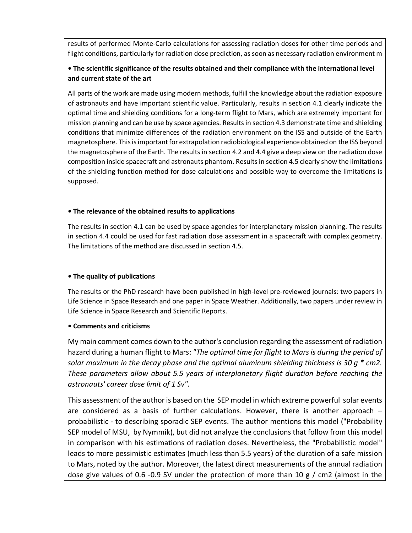results of performed Monte-Carlo calculations for assessing radiation doses for other time periods and flight conditions, particularly for radiation dose prediction, as soon as necessary radiation environment m

# **• The scientific significance of the results obtained and their compliance with the international level and current state of the art**

All parts of the work are made using modern methods, fulfill the knowledge about the radiation exposure of astronauts and have important scientific value. Particularly, results in section 4.1 clearly indicate the optimal time and shielding conditions for a long-term flight to Mars, which are extremely important for mission planning and can be use by space agencies. Results in section 4.3 demonstrate time and shielding conditions that minimize differences of the radiation environment on the ISS and outside of the Earth magnetosphere. This is important for extrapolation radiobiological experience obtained on the ISS beyond the magnetosphere of the Earth. The results in section 4.2 and 4.4 give a deep view on the radiation dose composition inside spacecraft and astronauts phantom. Results in section 4.5 clearly show the limitations of the shielding function method for dose calculations and possible way to overcome the limitations is supposed.

### **• The relevance of the obtained results to applications**

The results in section 4.1 can be used by space agencies for interplanetary mission planning. The results in section 4.4 could be used for fast radiation dose assessment in a spacecraft with complex geometry. The limitations of the method are discussed in section 4.5.

# **• The quality of publications**

The results or the PhD research have been published in high-level pre-reviewed journals: two papers in Life Science in Space Research and one paper in Space Weather. Additionally, two papers under review in Life Science in Space Research and Scientific Reports.

### **• Comments and criticisms**

My main comment comes down to the author's conclusion regarding the assessment of radiation hazard during a human flight to Mars: *"The optimal time for flight to Mars is during the period of solar maximum in the decay phase and the optimal aluminum shielding thickness is 30 g \* cm2. These parameters allow about 5.5 years of interplanetary flight duration before reaching the astronauts' career dose limit of 1 Sv".* 

This assessment of the author is based on the SEP model in which extreme powerful solar events are considered as a basis of further calculations. However, there is another approach – probabilistic - to describing sporadic SEP events. The author mentions this model ("Probability SEP model of MSU, by Nymmik), but did not analyze the conclusions that follow from this model in comparison with his estimations of radiation doses. Nevertheless, the "Probabilistic model" leads to more pessimistic estimates (much less than 5.5 years) of the duration of a safe mission to Mars, noted by the author. Moreover, the latest direct measurements of the annual radiation dose give values of 0.6 -0.9 SV under the protection of more than 10 g / cm2 (almost in the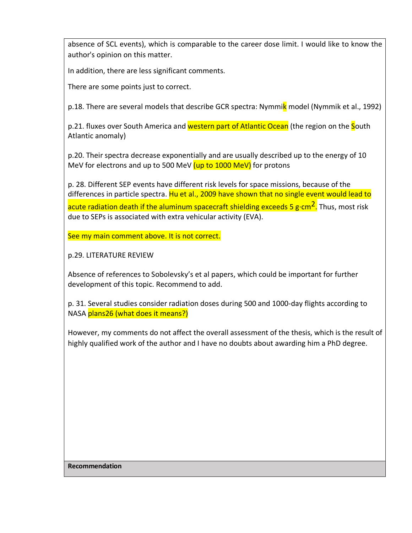absence of SCL events), which is comparable to the career dose limit. I would like to know the author's opinion on this matter.

In addition, there are less significant comments.

There are some points just to correct.

p.18. There are several models that describe GCR spectra: Nymmik model (Nymmik et al., 1992)

p.21. fluxes over South America and western part of Atlantic Ocean (the region on the South Atlantic anomaly)

p.20. Their spectra decrease exponentially and are usually described up to the energy of 10 MeV for electrons and up to 500 MeV  $(up\ to\ 1000\ MeV)$  for protons

p. 28. Different SEP events have different risk levels for space missions, because of the differences in particle spectra. Hu et al., 2009 have shown that no single event would lead to acute radiation death if the aluminum spacecraft shielding exceeds 5 g·cm<sup>2</sup>. Thus, most risk due to SEPs is associated with extra vehicular activity (EVA).

See my main comment above. It is not correct.

p.29. LITERATURE REVIEW

Absence of references to Sobolevsky's et al papers, which could be important for further development of this topic. Recommend to add.

p. 31. Several studies consider radiation doses during 500 and 1000-day flights according to NASA plans26 (what does it means?)

However, my comments do not affect the overall assessment of the thesis, which is the result of highly qualified work of the author and I have no doubts about awarding him a PhD degree.

**Recommendation**